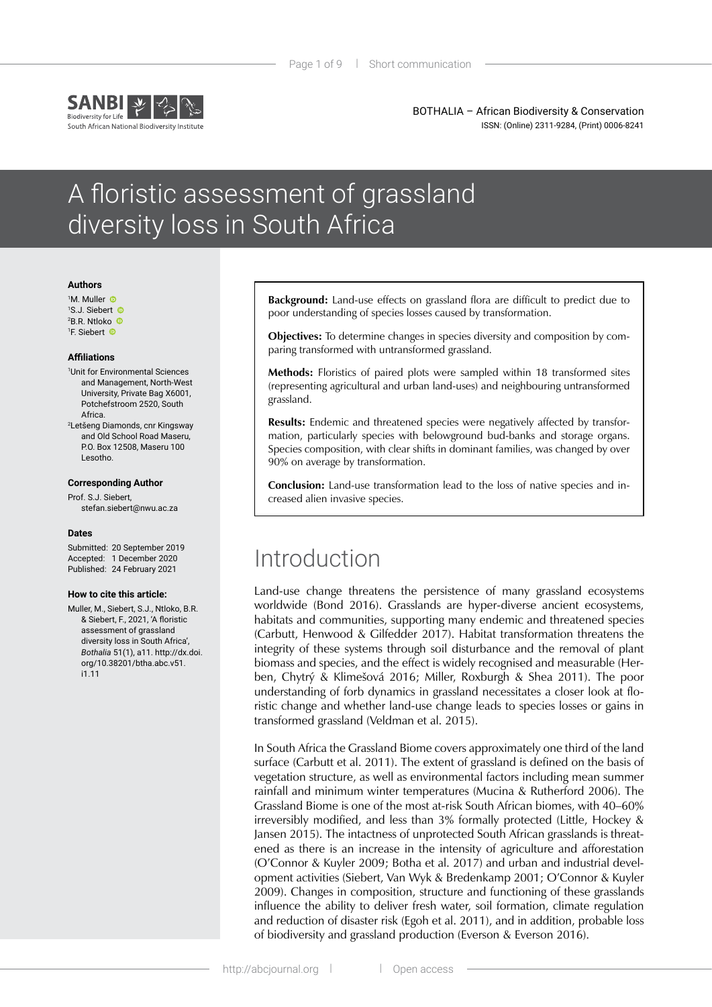

BOTHALIA – African Biodiversity & Conservation ISSN: (Online) 2311-9284, (Print) 0006-8241

# A floristic assessment of grassland diversity loss in South Africa

#### **Authors**

 M. Muller S.J. Siebert B.R. Ntloko F. Siebert

#### **Affiliations**

1 Unit for Environmental Sciences and Management, North-West University, Private Bag X6001, Potchefstroom 2520, South Africa.

2 Letšeng Diamonds, cnr Kingsway and Old School Road Maseru, P.O. Box 12508, Maseru 100 Lesotho.

#### **Corresponding Author**

Prof. S.J. Siebert,

stefan.siebert@nwu.ac.za

#### **Dates**

Submitted: 20 September 2019 Accepted: 1 December 2020 Published: 24 February 2021

#### **How to cite this article:**

Muller, M., Siebert, S.J., Ntloko, B.R. & Siebert, F., 2021, 'A floristic assessment of grassland diversity loss in South Africa', *Bothalia* 51(1), a11. http://dx.doi. org/10.38201/btha.abc.v51. i1.11

**Background:** Land-use effects on grassland flora are difficult to predict due to poor understanding of species losses caused by transformation.

**Objectives:** To determine changes in species diversity and composition by comparing transformed with untransformed grassland.

**Methods:** Floristics of paired plots were sampled within 18 transformed sites (representing agricultural and urban land-uses) and neighbouring untransformed grassland.

**Results:** Endemic and threatened species were negatively affected by transformation, particularly species with belowground bud-banks and storage organs. Species composition, with clear shifts in dominant families, was changed by over 90% on average by transformation.

**Conclusion:** Land-use transformation lead to the loss of native species and increased alien invasive species.

## Introduction

Land-use change threatens the persistence of many grassland ecosystems worldwide (Bond 2016). Grasslands are hyper-diverse ancient ecosystems, habitats and communities, supporting many endemic and threatened species (Carbutt, Henwood & Gilfedder 2017). Habitat transformation threatens the integrity of these systems through soil disturbance and the removal of plant biomass and species, and the effect is widely recognised and measurable (Herben, Chytrý & Klimešová 2016; Miller, Roxburgh & Shea 2011). The poor understanding of forb dynamics in grassland necessitates a closer look at floristic change and whether land-use change leads to species losses or gains in transformed grassland (Veldman et al. 2015).

In South Africa the Grassland Biome covers approximately one third of the land surface (Carbutt et al. 2011). The extent of grassland is defined on the basis of vegetation structure, as well as environmental factors including mean summer rainfall and minimum winter temperatures (Mucina & Rutherford 2006). The Grassland Biome is one of the most at-risk South African biomes, with 40–60% irreversibly modified, and less than 3% formally protected (Little, Hockey & Jansen 2015). The intactness of unprotected South African grasslands is threatened as there is an increase in the intensity of agriculture and afforestation (O'Connor & Kuyler 2009; Botha et al. 2017) and urban and industrial development activities (Siebert, Van Wyk & Bredenkamp 2001; O'Connor & Kuyler 2009). Changes in composition, structure and functioning of these grasslands influence the ability to deliver fresh water, soil formation, climate regulation and reduction of disaster risk (Egoh et al. 2011), and in addition, probable loss of biodiversity and grassland production (Everson & Everson 2016).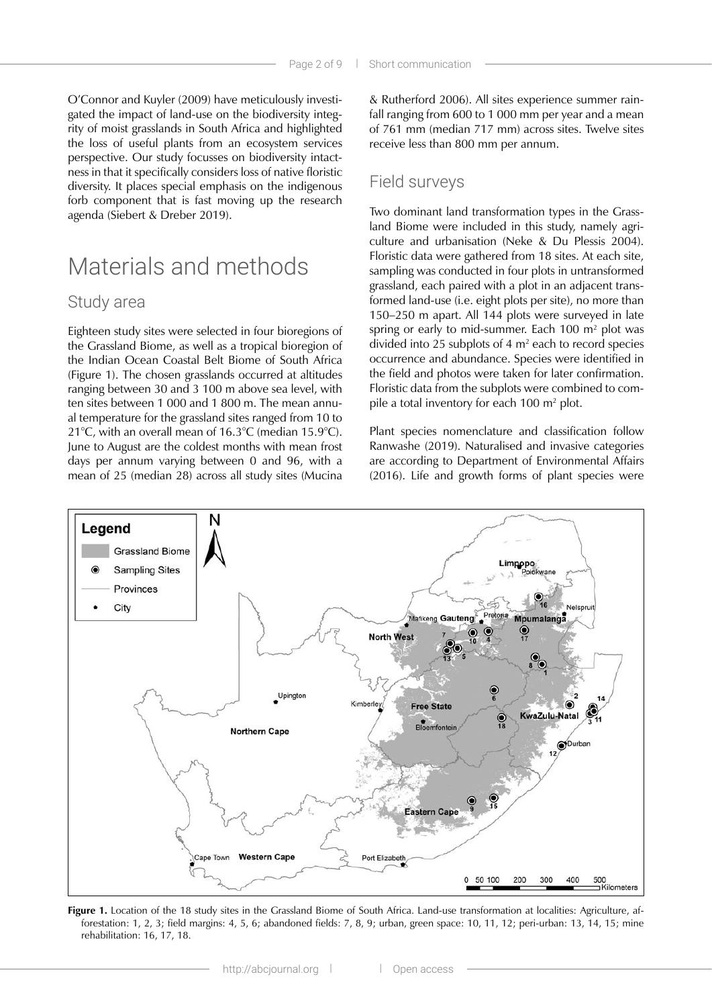O'Connor and Kuyler (2009) have meticulously investigated the impact of land-use on the biodiversity integrity of moist grasslands in South Africa and highlighted the loss of useful plants from an ecosystem services perspective. Our study focusses on biodiversity intactness in that it specifically considers loss of native floristic diversity. It places special emphasis on the indigenous forb component that is fast moving up the research agenda (Siebert & Dreber 2019).

## Materials and methods

### Study area

Eighteen study sites were selected in four bioregions of the Grassland Biome, as well as a tropical bioregion of the Indian Ocean Coastal Belt Biome of South Africa (Figure 1). The chosen grasslands occurred at altitudes ranging between 30 and 3 100 m above sea level, with ten sites between 1 000 and 1 800 m. The mean annual temperature for the grassland sites ranged from 10 to 21°C, with an overall mean of 16.3°C (median 15.9°C). June to August are the coldest months with mean frost days per annum varying between 0 and 96, with a mean of 25 (median 28) across all study sites (Mucina

& Rutherford 2006). All sites experience summer rainfall ranging from 600 to 1 000 mm per year and a mean of 761 mm (median 717 mm) across sites. Twelve sites receive less than 800 mm per annum.

### Field surveys

Two dominant land transformation types in the Grassland Biome were included in this study, namely agriculture and urbanisation (Neke & Du Plessis 2004). Floristic data were gathered from 18 sites. At each site, sampling was conducted in four plots in untransformed grassland, each paired with a plot in an adjacent transformed land-use (i.e. eight plots per site), no more than 150–250 m apart. All 144 plots were surveyed in late spring or early to mid-summer. Each  $100 \text{ m}^2$  plot was divided into 25 subplots of 4  $m<sup>2</sup>$  each to record species occurrence and abundance. Species were identified in the field and photos were taken for later confirmation. Floristic data from the subplots were combined to compile a total inventory for each 100 m<sup>2</sup> plot.

Plant species nomenclature and classification follow Ranwashe (2019). Naturalised and invasive categories are according to Department of Environmental Affairs (2016). Life and growth forms of plant species were



**Figure 1.** Location of the 18 study sites in the Grassland Biome of South Africa. Land-use transformation at localities: Agriculture, afforestation: 1, 2, 3; field margins: 4, 5, 6; abandoned fields: 7, 8, 9; urban, green space: 10, 11, 12; peri-urban: 13, 14, 15; mine rehabilitation: 16, 17, 18.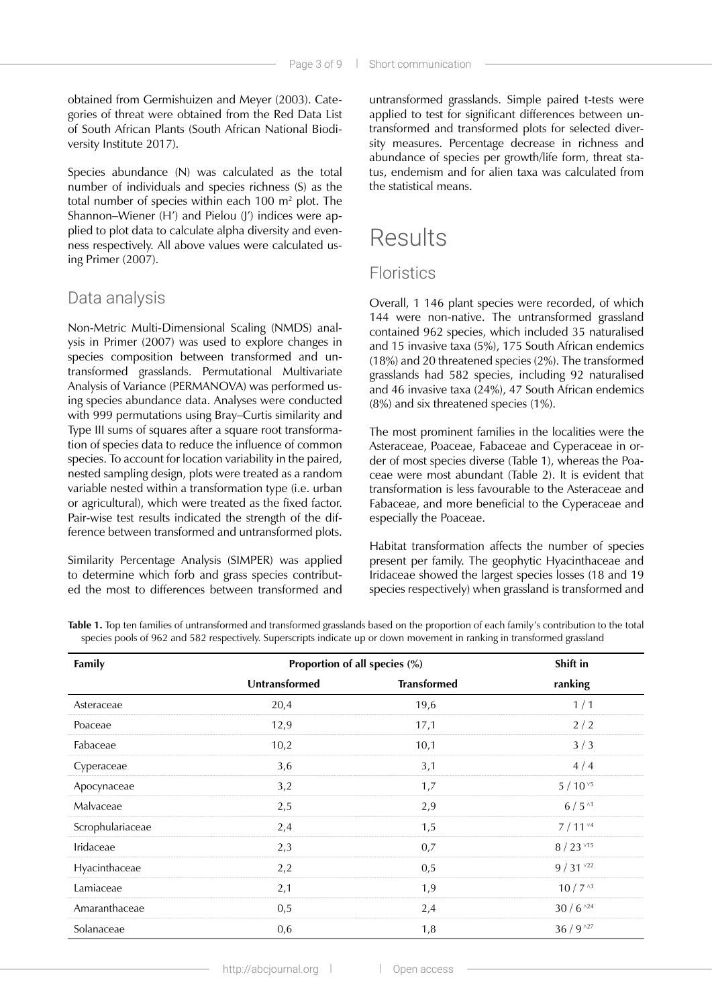obtained from Germishuizen and Meyer (2003). Categories of threat were obtained from the Red Data List of South African Plants (South African National Biodiversity Institute 2017).

Species abundance (N) was calculated as the total number of individuals and species richness (S) as the total number of species within each 100 m2 plot. The Shannon–Wiener (H') and Pielou (J') indices were applied to plot data to calculate alpha diversity and evenness respectively. All above values were calculated using Primer (2007).

### Data analysis

Non-Metric Multi-Dimensional Scaling (NMDS) analysis in Primer (2007) was used to explore changes in species composition between transformed and untransformed grasslands. Permutational Multivariate Analysis of Variance (PERMANOVA) was performed using species abundance data. Analyses were conducted with 999 permutations using Bray–Curtis similarity and Type III sums of squares after a square root transformation of species data to reduce the influence of common species. To account for location variability in the paired, nested sampling design, plots were treated as a random variable nested within a transformation type (i.e. urban or agricultural), which were treated as the fixed factor. Pair-wise test results indicated the strength of the difference between transformed and untransformed plots.

Similarity Percentage Analysis (SIMPER) was applied to determine which forb and grass species contributed the most to differences between transformed and untransformed grasslands. Simple paired t-tests were applied to test for significant differences between untransformed and transformed plots for selected diversity measures. Percentage decrease in richness and abundance of species per growth/life form, threat status, endemism and for alien taxa was calculated from the statistical means.

# **Results**

### **Floristics**

Overall, 1 146 plant species were recorded, of which 144 were non-native. The untransformed grassland contained 962 species, which included 35 naturalised and 15 invasive taxa (5%), 175 South African endemics (18%) and 20 threatened species (2%). The transformed grasslands had 582 species, including 92 naturalised and 46 invasive taxa (24%), 47 South African endemics (8%) and six threatened species (1%).

The most prominent families in the localities were the Asteraceae, Poaceae, Fabaceae and Cyperaceae in order of most species diverse (Table 1), whereas the Poaceae were most abundant (Table 2). It is evident that transformation is less favourable to the Asteraceae and Fabaceae, and more beneficial to the Cyperaceae and especially the Poaceae.

Habitat transformation affects the number of species present per family. The geophytic Hyacinthaceae and Iridaceae showed the largest species losses (18 and 19 species respectively) when grassland is transformed and

**Table 1.** Top ten families of untransformed and transformed grasslands based on the proportion of each family's contribution to the total species pools of 962 and 582 respectively. Superscripts indicate up or down movement in ranking in transformed grassland

| Family           | Proportion of all species (%) | Shift in           |                   |  |
|------------------|-------------------------------|--------------------|-------------------|--|
|                  | Untransformed                 | <b>Transformed</b> | ranking           |  |
| Asteraceae       | 20,4                          | 19,6               | 1/1               |  |
| Poaceae          | 12,9                          | 17,1               | 2/2               |  |
| Fabaceae         | 10,2                          | 10,1               | 3/3               |  |
| Cyperaceae       | 3,6                           | 3,1                | 4/4               |  |
| Apocynaceae      | 3,2                           | 1,7                | $5/10^{v5}$       |  |
| Malvaceae        | 2,5                           | 2,9                | $6/5^{11}$        |  |
| Scrophulariaceae | 2,4                           | 1,5                | 7/11 <sup>4</sup> |  |
| Iridaceae        | 2,3                           | 0,7                | $8/23$ $15$       |  |
| Hyacinthaceae    | 2,2                           | 0,5                | $9/31$ $^{v22}$   |  |
| Lamiaceae        | 2,1                           | 1,9                | $10/7^{3}$        |  |
| Amaranthaceae    | 0,5                           | 2,4                | $30/6$ $^{124}$   |  |
| Solanaceae       | 0,6                           | 1,8                | $36/9^{127}$      |  |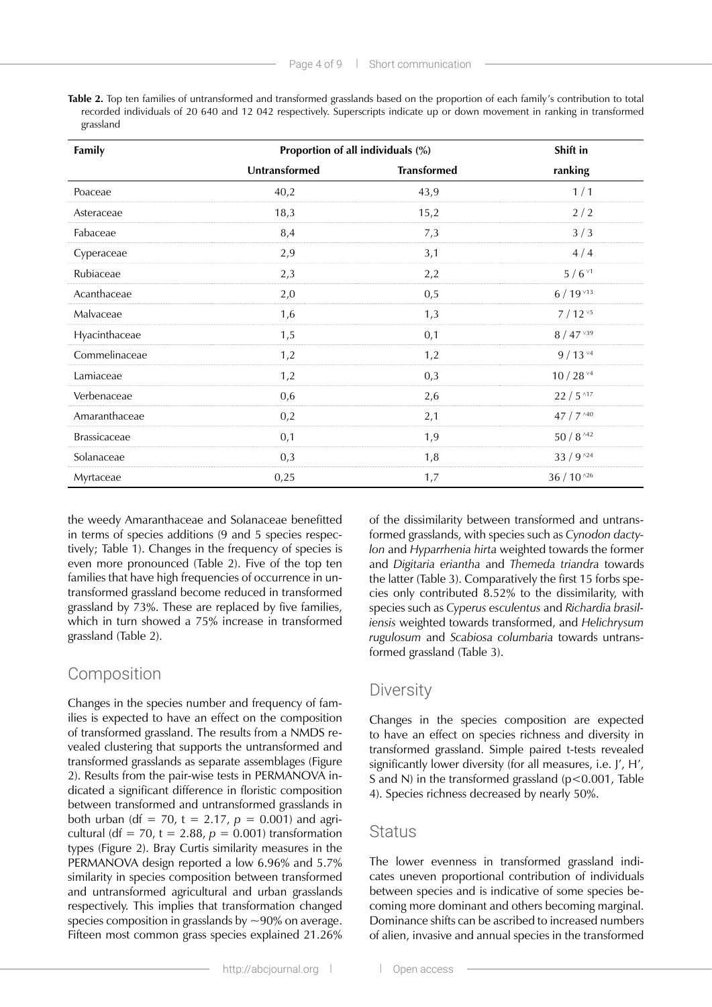**Table 2.** Top ten families of untransformed and transformed grasslands based on the proportion of each family's contribution to total recorded individuals of 20 640 and 12 042 respectively. Superscripts indicate up or down movement in ranking in transformed grassland

| Family              | Proportion of all individuals (%) |                    | Shift in                   |  |
|---------------------|-----------------------------------|--------------------|----------------------------|--|
|                     | Untransformed                     | <b>Transformed</b> | ranking                    |  |
| Poaceae             | 40,2                              | 43,9               | 1/1                        |  |
| Asteraceae          | 18,3                              | 15,2               | 2/2                        |  |
| Fabaceae            | 8,4                               | 7,3                | 3/3                        |  |
| Cyperaceae          | 2,9                               | 3,1                | 4/4                        |  |
| Rubiaceae           | 2,3                               | 2,2                | $5/6$ $1$                  |  |
| Acanthaceae         | 2,0                               | 0,5                | $6/19$ $13$                |  |
| Malvaceae           | 1,6                               | 1,3                | $7/12^{v5}$                |  |
| Hyacinthaceae       | 1,5                               | 0,1                | $8/47$ $139$               |  |
| Commelinaceae       | 1,2                               | 1,2                | $9/13^{v4}$                |  |
| Lamiaceae           | 1,2                               | 0,3                | 10 / 28 $^{\vee 4}$        |  |
| Verbenaceae         | 0,6                               | 2,6                | $22/5$ $17$                |  |
| Amaranthaceae       | 0,2                               | 2,1                | 47 / 7 ^40                 |  |
| <b>Brassicaceae</b> | 0,1                               | 1,9                | $50/8$ ^42                 |  |
| Solanaceae          | 0,3                               | 1,8                | $33/9$ $^{124}$            |  |
| Myrtaceae           | 0,25                              | 1,7                | $36$ / $10$ $^{\wedge 26}$ |  |

the weedy Amaranthaceae and Solanaceae benefitted in terms of species additions (9 and 5 species respectively; Table 1). Changes in the frequency of species is even more pronounced (Table 2). Five of the top ten families that have high frequencies of occurrence in untransformed grassland become reduced in transformed grassland by 73%. These are replaced by five families, which in turn showed a 75% increase in transformed grassland (Table 2).

#### **Composition**

Changes in the species number and frequency of families is expected to have an effect on the composition of transformed grassland. The results from a NMDS revealed clustering that supports the untransformed and transformed grasslands as separate assemblages (Figure 2). Results from the pair-wise tests in PERMANOVA indicated a significant difference in floristic composition between transformed and untransformed grasslands in both urban (df = 70, t = 2.17,  $p = 0.001$ ) and agricultural (df = 70, t =  $2.88$ ,  $p = 0.001$ ) transformation types (Figure 2). Bray Curtis similarity measures in the PERMANOVA design reported a low 6.96% and 5.7% similarity in species composition between transformed and untransformed agricultural and urban grasslands respectively. This implies that transformation changed species composition in grasslands by  $\sim$ 90% on average. Fifteen most common grass species explained 21.26%

of the dissimilarity between transformed and untransformed grasslands, with species such as *Cynodon dactylon* and *Hyparrhenia hirta* weighted towards the former and *Digitaria eriantha* and *Themeda triandra* towards the latter (Table 3). Comparatively the first 15 forbs species only contributed 8.52% to the dissimilarity, with species such as *Cyperus esculentus* and *Richardia brasiliensis* weighted towards transformed, and *Helichrysum rugulosum* and *Scabiosa columbaria* towards untransformed grassland (Table 3).

#### **Diversity**

Changes in the species composition are expected to have an effect on species richness and diversity in transformed grassland. Simple paired t-tests revealed significantly lower diversity (for all measures, i.e. J', H', S and N) in the transformed grassland (p<0.001, Table 4). Species richness decreased by nearly 50%.

#### **Status**

The lower evenness in transformed grassland indicates uneven proportional contribution of individuals between species and is indicative of some species becoming more dominant and others becoming marginal. Dominance shifts can be ascribed to increased numbers of alien, invasive and annual species in the transformed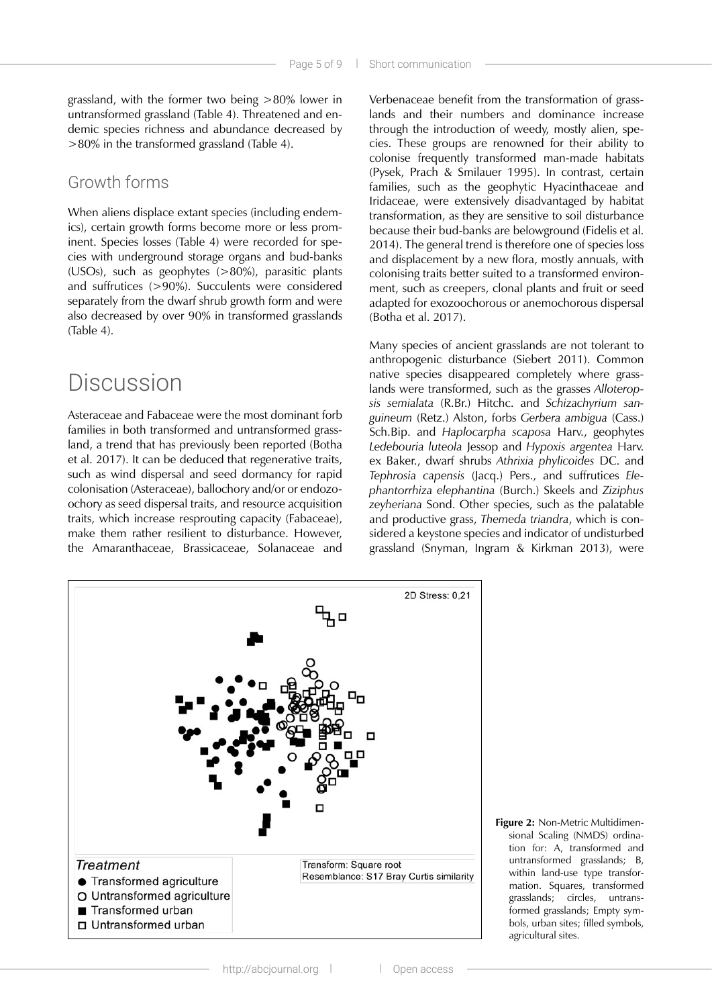grassland, with the former two being >80% lower in untransformed grassland (Table 4). Threatened and endemic species richness and abundance decreased by >80% in the transformed grassland (Table 4).

### Growth forms

When aliens displace extant species (including endemics), certain growth forms become more or less prominent. Species losses (Table 4) were recorded for species with underground storage organs and bud-banks (USOs), such as geophytes (>80%), parasitic plants and suffrutices (>90%). Succulents were considered separately from the dwarf shrub growth form and were also decreased by over 90% in transformed grasslands (Table 4).

## Discussion

Asteraceae and Fabaceae were the most dominant forb families in both transformed and untransformed grassland, a trend that has previously been reported (Botha et al. 2017). It can be deduced that regenerative traits, such as wind dispersal and seed dormancy for rapid colonisation (Asteraceae), ballochory and/or or endozoochory as seed dispersal traits, and resource acquisition traits, which increase resprouting capacity (Fabaceae), make them rather resilient to disturbance. However, the Amaranthaceae, Brassicaceae, Solanaceae and Verbenaceae benefit from the transformation of grasslands and their numbers and dominance increase through the introduction of weedy, mostly alien, species. These groups are renowned for their ability to colonise frequently transformed man-made habitats (Pysek, Prach & Smilauer 1995). In contrast, certain families, such as the geophytic Hyacinthaceae and Iridaceae, were extensively disadvantaged by habitat transformation, as they are sensitive to soil disturbance because their bud-banks are belowground (Fidelis et al. 2014). The general trend is therefore one of species loss and displacement by a new flora, mostly annuals, with colonising traits better suited to a transformed environment, such as creepers, clonal plants and fruit or seed adapted for exozoochorous or anemochorous dispersal (Botha et al. 2017).

Many species of ancient grasslands are not tolerant to anthropogenic disturbance (Siebert 2011). Common native species disappeared completely where grasslands were transformed, such as the grasses *Alloteropsis semialata* (R.Br.) Hitchc. and *Schizachyrium sanguineum* (Retz.) Alston, forbs *Gerbera ambigua* (Cass.) Sch.Bip. and *Haplocarpha scaposa* Harv., geophytes *Ledebouria luteola* Jessop and *Hypoxis argentea* Harv. ex Baker., dwarf shrubs *Athrixia phylicoides* DC. and *Tephrosia capensis* (Jacq.) Pers., and suffrutices *Elephantorrhiza elephantina* (Burch.) Skeels and *Ziziphus zeyheriana* Sond. Other species, such as the palatable and productive grass, *Themeda triandra*, which is considered a keystone species and indicator of undisturbed grassland (Snyman, Ingram & Kirkman 2013), were



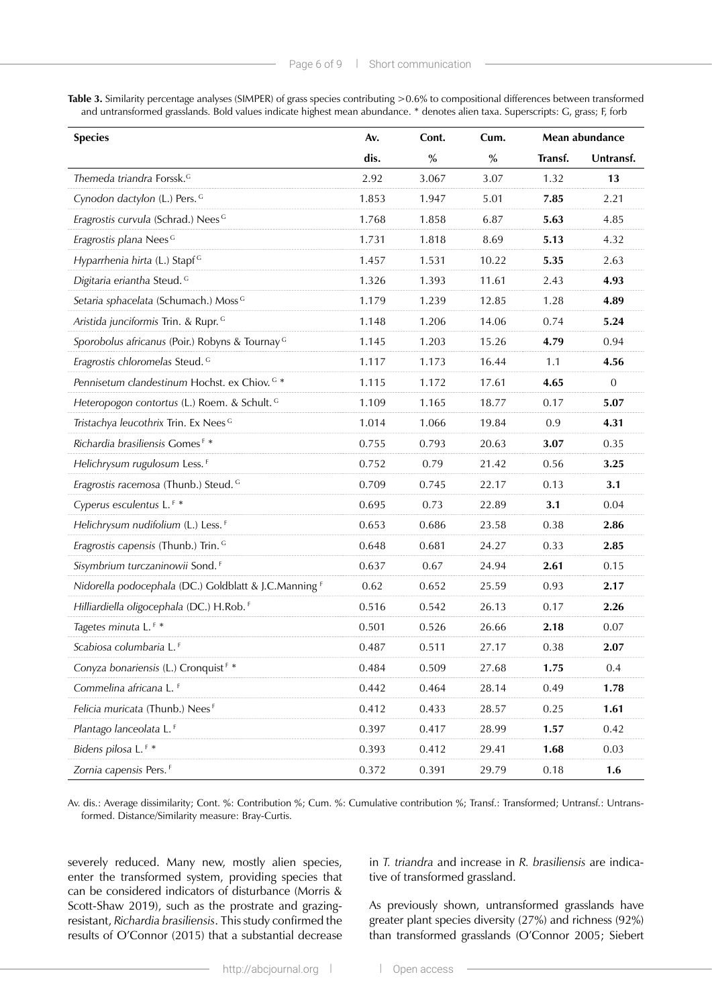| Table 3. Similarity percentage analyses (SIMPER) of grass species contributing > 0.6% to compositional differences between transformed |                                                                                                                                  |  |  |
|----------------------------------------------------------------------------------------------------------------------------------------|----------------------------------------------------------------------------------------------------------------------------------|--|--|
|                                                                                                                                        | and untransformed grasslands. Bold values indicate highest mean abundance. * denotes alien taxa. Superscripts: G, grass; F, forb |  |  |

| <b>Species</b>                                             | Av.   | Cont.         | Cum.          | Mean abundance |                |
|------------------------------------------------------------|-------|---------------|---------------|----------------|----------------|
|                                                            | dis.  | $\frac{9}{6}$ | $\frac{9}{6}$ | Transf.        | Untransf.      |
| Themeda triandra Forssk. <sup>G</sup>                      | 2.92  | 3.067         | 3.07          | 1.32           | 13             |
| Cynodon dactylon (L.) Pers. G                              | 1.853 | 1.947         | 5.01          | 7.85           | 2.21           |
| Eragrostis curvula (Schrad.) Nees <sup>G</sup>             | 1.768 | 1.858         | 6.87          | 5.63           | 4.85           |
| Eragrostis plana Nees <sup>G</sup>                         | 1.731 | 1.818         | 8.69          | 5.13           | 4.32           |
| Hyparrhenia hirta (L.) Stapf <sup>G</sup>                  | 1.457 | 1.531         | 10.22         | 5.35           | 2.63           |
| Digitaria eriantha Steud. G                                | 1.326 | 1.393         | 11.61         | 2.43           | 4.93           |
| Setaria sphacelata (Schumach.) Moss G                      | 1.179 | 1.239         | 12.85         | 1.28           | 4.89           |
| Aristida junciformis Trin. & Rupr. G                       | 1.148 | 1.206         | 14.06         | 0.74           | 5.24           |
| Sporobolus africanus (Poir.) Robyns & Tournay <sup>G</sup> | 1.145 | 1.203         | 15.26         | 4.79           | 0.94           |
| Eragrostis chloromelas Steud. <sup>G</sup>                 | 1.117 | 1.173         | 16.44         | 1.1            | 4.56           |
| Pennisetum clandestinum Hochst. ex Chiov. G *              | 1.115 | 1.172         | 17.61         | 4.65           | $\overline{0}$ |
| Heteropogon contortus (L.) Roem. & Schult. G               | 1.109 | 1.165         | 18.77         | 0.17           | 5.07           |
| Tristachya leucothrix Trin. Ex Nees <sup>G</sup>           | 1.014 | 1.066         | 19.84         | 0.9            | 4.31           |
| Richardia brasiliensis Gomes <sup>F *</sup>                | 0.755 | 0.793         | 20.63         | 3.07           | 0.35           |
| Helichrysum rugulosum Less. <sup>F</sup>                   | 0.752 | 0.79          | 21.42         | 0.56           | 3.25           |
| Eragrostis racemosa (Thunb.) Steud. G                      | 0.709 | 0.745         | 22.17         | 0.13           | 3.1            |
| Cyperus esculentus L. <sup>F *</sup>                       | 0.695 | 0.73          | 22.89         | 3.1            | 0.04           |
| Helichrysum nudifolium (L.) Less. <sup>F</sup>             | 0.653 | 0.686         | 23.58         | 0.38           | 2.86           |
| Eragrostis capensis (Thunb.) Trin. G                       | 0.648 | 0.681         | 24.27         | 0.33           | 2.85           |
| Sisymbrium turczaninowii Sond. <sup>F</sup>                | 0.637 | 0.67          | 24.94         | 2.61           | 0.15           |
| Nidorella podocephala (DC.) Goldblatt & J.C.Manning F      | 0.62  | 0.652         | 25.59         | 0.93           | 2.17           |
| Hilliardiella oligocephala (DC.) H.Rob. <sup>F</sup>       | 0.516 | 0.542         | 26.13         | 0.17           | 2.26           |
| Tagetes minuta L.F *                                       | 0.501 | 0.526         | 26.66         | 2.18           | 0.07           |
| Scabiosa columbaria L. <sup>F</sup>                        | 0.487 | 0.511         | 27.17         | 0.38           | 2.07           |
| Conyza bonariensis (L.) Cronquist <sup>F *</sup>           | 0.484 | 0.509         | 27.68         | 1.75           | 0.4            |
| Commelina africana L. <sup>F</sup>                         | 0.442 | 0.464         | 28.14         | 0.49           | 1.78           |
| Felicia muricata (Thunb.) Nees <sup>F</sup>                | 0.412 | 0.433         | 28.57         | 0.25           | 1.61           |
| Plantago lanceolata L. <sup>F</sup>                        | 0.397 | 0.417         | 28.99         | 1.57           | 0.42           |
| Bidens pilosa L.F *                                        | 0.393 | 0.412         | 29.41         | 1.68           | 0.03           |
| Zornia capensis Pers. <sup>F</sup>                         | 0.372 | 0.391         | 29.79         | 0.18           | 1.6            |

Av. dis.: Average dissimilarity; Cont. %: Contribution %; Cum. %: Cumulative contribution %; Transf.: Transformed; Untransf.: Untransformed. Distance/Similarity measure: Bray-Curtis.

severely reduced. Many new, mostly alien species, enter the transformed system, providing species that can be considered indicators of disturbance (Morris & Scott-Shaw 2019), such as the prostrate and grazingresistant, *Richardia brasiliensis*. This study confirmed the results of O'Connor (2015) that a substantial decrease

in *T. triandra* and increase in *R. brasiliensis* are indicative of transformed grassland.

As previously shown, untransformed grasslands have greater plant species diversity (27%) and richness (92%) than transformed grasslands (O'Connor 2005; Siebert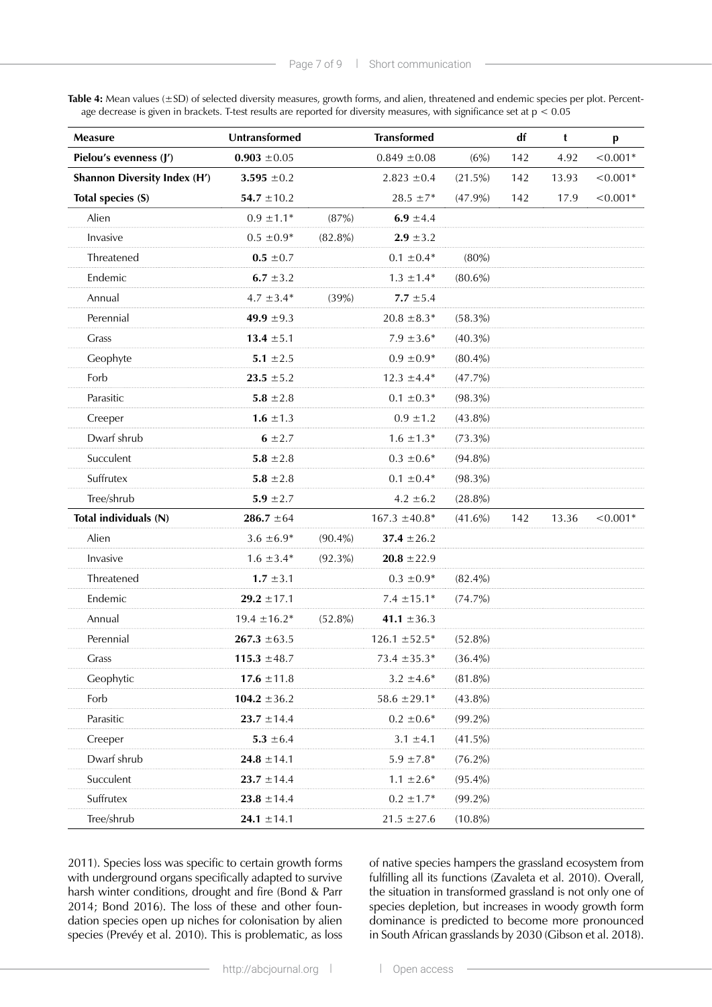Table 4: Mean values (±SD) of selected diversity measures, growth forms, and alien, threatened and endemic species per plot. Percentage decrease is given in brackets. T-test results are reported for diversity measures, with significance set at p < 0.05

| Measure                             | Untransformed    |                        | <b>Transformed</b> |            | df  | t     | p          |
|-------------------------------------|------------------|------------------------|--------------------|------------|-----|-------|------------|
| Pielou's evenness (J')              | $0.903 \pm 0.05$ | $0.849 \pm 0.08$       |                    | (6%)       | 142 | 4.92  | $< 0.001*$ |
| <b>Shannon Diversity Index (H')</b> | 3.595 $\pm 0.2$  | $2.823 \pm 0.4$        |                    | (21.5%)    | 142 | 13.93 | $< 0.001*$ |
| Total species (S)                   | $54.7 \pm 10.2$  |                        | $28.5 \pm 7*$      | (47.9%)    | 142 | 17.9  | $< 0.001*$ |
| Alien                               | $0.9 \pm 1.1*$   | (87%)<br>6.9 $\pm 4.4$ |                    |            |     |       |            |
| Invasive                            | $0.5 \pm 0.9*$   | $(82.8\%)$             | $2.9 \pm 3.2$      |            |     |       |            |
| Threatened                          | $0.5 \pm 0.7$    |                        | $0.1 \pm 0.4*$     | (80%)      |     |       |            |
| Endemic                             | 6.7 $\pm$ 3.2    |                        | $1.3 \pm 1.4*$     | $(80.6\%)$ |     |       |            |
| Annual                              | $4.7 \pm 3.4*$   | (39%)                  | $7.7 \pm 5.4$      |            |     |       |            |
| Perennial                           | 49.9 $\pm$ 9.3   |                        | $20.8 \pm 8.3*$    | $(58.3\%)$ |     |       |            |
| Grass                               | 13.4 $\pm$ 5.1   |                        | $7.9 \pm 3.6*$     | $(40.3\%)$ |     |       |            |
| Geophyte                            | 5.1 $\pm 2.5$    |                        | $0.9 \pm 0.9*$     | $(80.4\%)$ |     |       |            |
| Forb                                | $23.5 \pm 5.2$   |                        | $12.3 \pm 4.4*$    | $(47.7\%)$ |     |       |            |
| Parasitic                           | 5.8 $\pm 2.8$    |                        | $0.1 \pm 0.3*$     | $(98.3\%)$ |     |       |            |
| Creeper                             | 1.6 $\pm 1.3$    |                        | $0.9 \pm 1.2$      | $(43.8\%)$ |     |       |            |
| Dwarf shrub                         | $6 \pm 2.7$      |                        | $1.6 \pm 1.3*$     | $(73.3\%)$ |     |       |            |
| Succulent                           | 5.8 $\pm 2.8$    |                        | $0.3 \pm 0.6*$     | $(94.8\%)$ |     |       |            |
| Suffrutex                           | 5.8 $\pm 2.8$    |                        | $0.1 \pm 0.4*$     | $(98.3\%)$ |     |       |            |
| Tree/shrub                          | 5.9 $\pm 2.7$    |                        | $4.2 \pm 6.2$      | $(28.8\%)$ |     |       |            |
| Total individuals (N)               | $286.7 \pm 64$   |                        | $167.3 \pm 40.8^*$ | $(41.6\%)$ | 142 | 13.36 | $< 0.001*$ |
| Alien                               | $3.6 \pm 6.9*$   | $(90.4\%)$             | 37.4 $\pm 26.2$    |            |     |       |            |
| Invasive                            | $1.6 \pm 3.4*$   | $(92.3\%)$             | $20.8 \pm 22.9$    |            |     |       |            |
| Threatened                          | $1.7 \pm 3.1$    |                        | $0.3 \pm 0.9*$     | $(82.4\%)$ |     |       |            |
| Endemic                             | $29.2 \pm 17.1$  |                        | $7.4 \pm 15.1*$    | (74.7%)    |     |       |            |
| Annual                              | $19.4 \pm 16.2*$ | $(52.8\%)$             | 41.1 $\pm$ 36.3    |            |     |       |            |
| Perennial                           | $267.3 \pm 63.5$ |                        | $126.1 \pm 52.5*$  | $(52.8\%)$ |     |       |            |
| Grass                               | 115.3 $\pm 48.7$ |                        | $73.4 \pm 35.3*$   | $(36.4\%)$ |     |       |            |
| Geophytic                           | 17.6 $\pm$ 11.8  |                        | $3.2 \pm 4.6*$     | $(81.8\%)$ |     |       |            |
| Forb                                | 104.2 $\pm$ 36.2 |                        | $58.6 \pm 29.1*$   | $(43.8\%)$ |     |       |            |
| Parasitic                           | $23.7 \pm 14.4$  |                        | $0.2 \pm 0.6*$     | $(99.2\%)$ |     |       |            |
| Creeper                             | 5.3 $\pm 6.4$    |                        | $3.1 \pm 4.1$      | $(41.5\%)$ |     |       |            |
| Dwarf shrub                         | $24.8 \pm 14.1$  |                        | $5.9 \pm 7.8*$     | $(76.2\%)$ |     |       |            |
| Succulent                           | $23.7 \pm 14.4$  |                        | $1.1 \pm 2.6^*$    | $(95.4\%)$ |     |       |            |
| Suffrutex                           | $23.8 \pm 14.4$  |                        | $0.2 \pm 1.7*$     | $(99.2\%)$ |     |       |            |
| Tree/shrub                          | $24.1 \pm 14.1$  |                        | $21.5 \pm 27.6$    | $(10.8\%)$ |     |       |            |

2011). Species loss was specific to certain growth forms with underground organs specifically adapted to survive harsh winter conditions, drought and fire (Bond & Parr 2014; Bond 2016). The loss of these and other foundation species open up niches for colonisation by alien species (Prevéy et al. 2010). This is problematic, as loss of native species hampers the grassland ecosystem from fulfilling all its functions (Zavaleta et al. 2010). Overall, the situation in transformed grassland is not only one of species depletion, but increases in woody growth form dominance is predicted to become more pronounced in South African grasslands by 2030 (Gibson et al. 2018).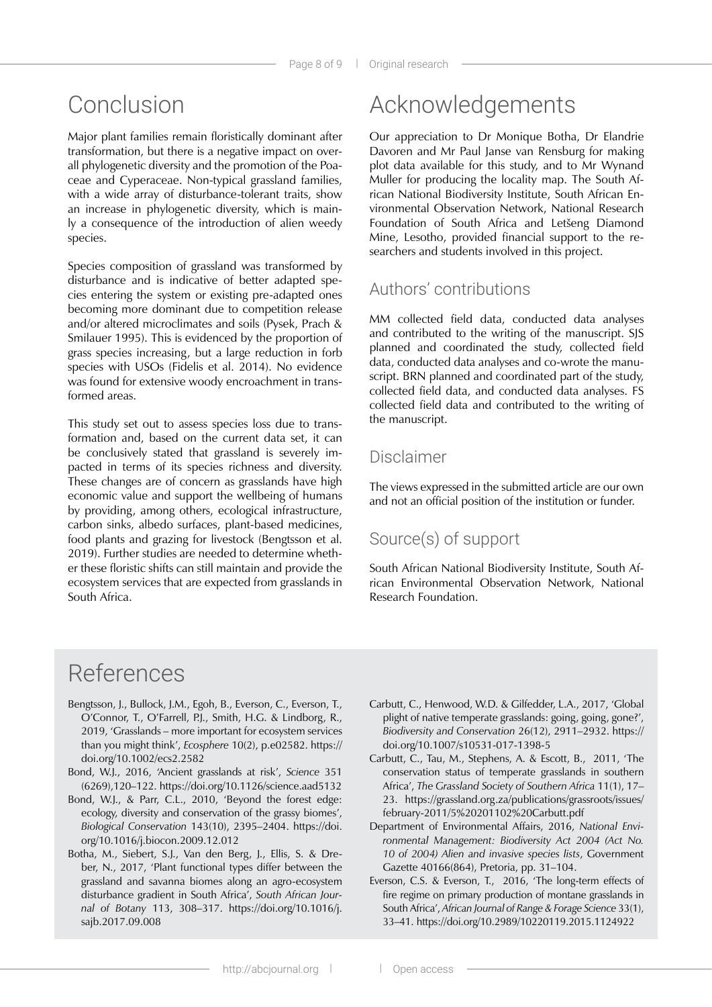## Conclusion

Major plant families remain floristically dominant after transformation, but there is a negative impact on overall phylogenetic diversity and the promotion of the Poaceae and Cyperaceae. Non-typical grassland families, with a wide array of disturbance-tolerant traits, show an increase in phylogenetic diversity, which is mainly a consequence of the introduction of alien weedy species.

Species composition of grassland was transformed by disturbance and is indicative of better adapted species entering the system or existing pre-adapted ones becoming more dominant due to competition release and/or altered microclimates and soils (Pysek, Prach & Smilauer 1995). This is evidenced by the proportion of grass species increasing, but a large reduction in forb species with USOs (Fidelis et al. 2014). No evidence was found for extensive woody encroachment in transformed areas.

This study set out to assess species loss due to transformation and, based on the current data set, it can be conclusively stated that grassland is severely impacted in terms of its species richness and diversity. These changes are of concern as grasslands have high economic value and support the wellbeing of humans by providing, among others, ecological infrastructure, carbon sinks, albedo surfaces, plant-based medicines, food plants and grazing for livestock (Bengtsson et al. 2019). Further studies are needed to determine whether these floristic shifts can still maintain and provide the ecosystem services that are expected from grasslands in South Africa.

# Acknowledgements

Our appreciation to Dr Monique Botha, Dr Elandrie Davoren and Mr Paul Janse van Rensburg for making plot data available for this study, and to Mr Wynand Muller for producing the locality map. The South African National Biodiversity Institute, South African Environmental Observation Network, National Research Foundation of South Africa and Letšeng Diamond Mine, Lesotho, provided financial support to the researchers and students involved in this project.

### Authors' contributions

MM collected field data, conducted data analyses and contributed to the writing of the manuscript. SJS planned and coordinated the study, collected field data, conducted data analyses and co-wrote the manuscript. BRN planned and coordinated part of the study, collected field data, and conducted data analyses. FS collected field data and contributed to the writing of the manuscript.

### Disclaimer

The views expressed in the submitted article are our own and not an official position of the institution or funder.

### Source(s) of support

South African National Biodiversity Institute, South African Environmental Observation Network, National Research Foundation.

## References

- Bengtsson, J., Bullock, J.M., Egoh, B., Everson, C., Everson, T., O'Connor, T., O'Farrell, P.J., Smith, H.G. & Lindborg, R., 2019, 'Grasslands – more important for ecosystem services than you might think', *Ecosphere* 10(2), p.e02582. https:// doi.org/10.1002/ecs2.2582
- Bond, W.J., 2016, 'Ancient grasslands at risk', *Science* 351 (6269),120–122. https://doi.org/10.1126/science.aad5132
- Bond, W.J., & Parr, C.L., 2010, 'Beyond the forest edge: ecology, diversity and conservation of the grassy biomes', *Biological Conservation* 143(10), 2395–2404. https://doi. org/10.1016/j.biocon.2009.12.012
- Botha, M., Siebert, S.J., Van den Berg, J., Ellis, S. & Dreber, N., 2017, 'Plant functional types differ between the grassland and savanna biomes along an agro-ecosystem disturbance gradient in South Africa', *South African Journal of Botany* 113, 308–317. https://doi.org/10.1016/j. sajb.2017.09.008
- Carbutt, C., Henwood, W.D. & Gilfedder, L.A., 2017, 'Global plight of native temperate grasslands: going, going, gone?', *Biodiversity and Conservation* 26(12), 2911–2932. https:// doi.org/10.1007/s10531-017-1398-5
- Carbutt, C., Tau, M., Stephens, A. & Escott, B., 2011, 'The conservation status of temperate grasslands in southern Africa', *The Grassland Society of Southern Africa* 11(1), 17– 23. https://grassland.org.za/publications/grassroots/issues/ february-2011/5%20201102%20Carbutt.pdf
- Department of Environmental Affairs, 2016, *National Environmental Management: Biodiversity Act 2004 (Act No. 10 of 2004) Alien and invasive species lists*, Government Gazette 40166(864), Pretoria, pp. 31–104.
- Everson, C.S. & Everson, T., 2016, 'The long-term effects of fire regime on primary production of montane grasslands in South Africa', *African Journal of Range & Forage Science* 33(1), 33–41. https://doi.org/10.2989/10220119.2015.1124922